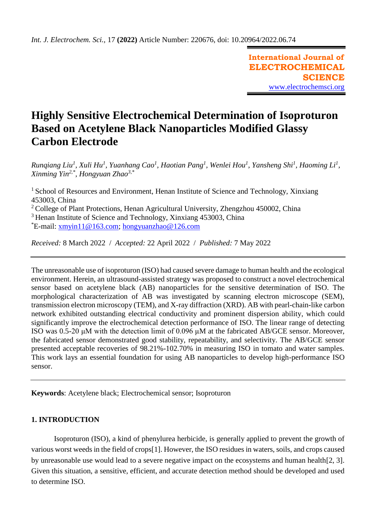**International Journal of ELECTROCHEMICAL SCIENCE** [www.electrochemsci.org](http://www.electrochemsci.org/)

# **Highly Sensitive Electrochemical Determination of Isoproturon Based on Acetylene Black Nanoparticles Modified Glassy Carbon Electrode**

*Runqiang Liu<sup>1</sup>, Xuli Hu<sup>1</sup>, Yuanhang Cao<sup>1</sup>, Haotian Pang<sup>1</sup>, Wenlei Hou<sup>1</sup>, Yansheng Shi<sup>1</sup>, Haoming Li<sup>1</sup>, Xinming Yin2,\* , Hongyuan Zhao3,\**

<sup>1</sup> School of Resources and Environment, Henan Institute of Science and Technology, Xinxiang 453003, China

<sup>2</sup> College of Plant Protections, Henan Agricultural University, Zhengzhou 450002, China

<sup>3</sup> Henan Institute of Science and Technology, Xinxiang 453003, China

\*E-mail: [xmyin11@163.com;](mailto:xmyin11@163.com) [hongyuanzhao@126.com](mailto:hongyuanzhao@126.com)

*Received:* 8 March 2022/ *Accepted:* 22 April 2022 / *Published:* 7 May 2022

The unreasonable use of isoproturon (ISO) had caused severe damage to human health and the ecological environment. Herein, an ultrasound-assisted strategy was proposed to construct a novel electrochemical sensor based on acetylene black (AB) nanoparticles for the sensitive determination of ISO. The morphological characterization of AB was investigated by scanning electron microscope (SEM), transmission electron microscopy (TEM), and X-ray diffraction (XRD). AB with pearl-chain-like carbon network exhibited outstanding electrical conductivity and prominent dispersion ability, which could significantly improve the electrochemical detection performance of ISO. The linear range of detecting ISO was 0.5-20 μM with the detection limit of 0.096 μM at the fabricated AB/GCE sensor. Moreover, the fabricated sensor demonstrated good stability, repeatability, and selectivity. The AB/GCE sensor presented acceptable recoveries of 98.21%-102.70% in measuring ISO in tomato and water samples. This work lays an essential foundation for using AB nanoparticles to develop high-performance ISO sensor.

**Keywords**: Acetylene black; Electrochemical sensor; Isoproturon

# **1. INTRODUCTION**

Isoproturon (ISO), a kind of phenylurea herbicide, is generally applied to prevent the growth of various worst weeds in the field of crops[1]. However, the ISO residues in waters, soils, and crops caused by unreasonable use would lead to a severe negative impact on the ecosystems and human health[2, 3]. Given this situation, a sensitive, efficient, and accurate detection method should be developed and used to determine ISO.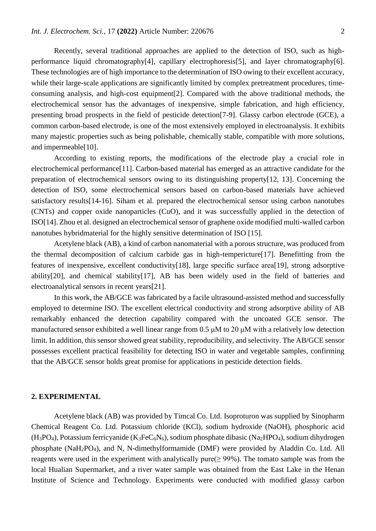Recently, several traditional approaches are applied to the detection of ISO, such as highperformance liquid chromatography[4], capillary electrophoresis[5], and layer chromatography[6]. These technologies are of high importance to the determination of ISO owing to their excellent accuracy, while their large-scale applications are significantly limited by complex pretreatment procedures, timeconsuming analysis, and high-cost equipment[2]. Compared with the above traditional methods, the electrochemical sensor has the advantages of inexpensive, simple fabrication, and high efficiency, presenting broad prospects in the field of pesticide detection[7-9]. Glassy carbon electrode (GCE), a common carbon-based electrode, is one of the most extensively employed in electroanalysis. It exhibits many majestic properties such as being polishable, chemically stable, compatible with more solutions, and impermeable[10].

According to existing reports, the modifications of the electrode play a crucial role in electrochemical performance[11]. Carbon-based material has emerged as an attractive candidate for the preparation of electrochemical sensors owing to its distinguishing property[12, 13]. Concerning the detection of ISO, some electrochemical sensors based on carbon-based materials have achieved satisfactory results[14-16]. Siham et al. prepared the electrochemical sensor using carbon nanotubes (CNTs) and copper oxide nanoparticles (CuO), and it was successfully applied in the detection of ISO[14]. Zhou et al. designed an electrochemical sensor of graphene oxide modified multi-walled carbon nanotubes hybridmaterial for the highly sensitive determination of ISO [15].

Acetylene black (AB), a kind of carbon nanomaterial with a porous structure, was produced from the thermal decomposition of calcium carbide gas in high-tempericture[17]. Benefitting from the features of inexpensive, excellent conductivity[18], large specific surface area[19], strong adsorptive ability[20], and chemical stability[17], AB has been widely used in the field of batteries and electroanalytical sensors in recent years[21].

In this work, the AB/GCE was fabricated by a facile ultrasound-assisted method and successfully employed to determine ISO. The excellent electrical conductivity and strong adsorptive ability of AB remarkably enhanced the detection capability compared with the uncoated GCE sensor. The manufactured sensor exhibited a well linear range from 0.5 μM to 20 μM with a relatively low detection limit. In addition, this sensor showed great stability, reproducibility, and selectivity. The AB/GCE sensor possesses excellent practical feasibility for detecting ISO in water and vegetable samples, confirming that the AB/GCE sensor holds great promise for applications in pesticide detection fields.

#### **2. EXPERIMENTAL**

Acetylene black (AB) was provided by Timcal Co. Ltd. Isoproturon was supplied by Sinopharm Chemical Reagent Co. Ltd. Potassium chloride (KCl), sodium hydroxide (NaOH), phosphoric acid (H3PO4), Potassium ferricyanide (K3FeC6N6), sodium phosphate dibasic (Na2HPO4), sodium dihydrogen phosphate (NaH2PO4), and N, N-dimethylformamide (DMF) were provided by Aladdin Co. Ltd. All reagents were used in the experiment with analytically pure( $\geq$  99%). The tomato sample was from the local Hualian Supermarket, and a river water sample was obtained from the East Lake in the Henan Institute of Science and Technology. Experiments were conducted with modified glassy carbon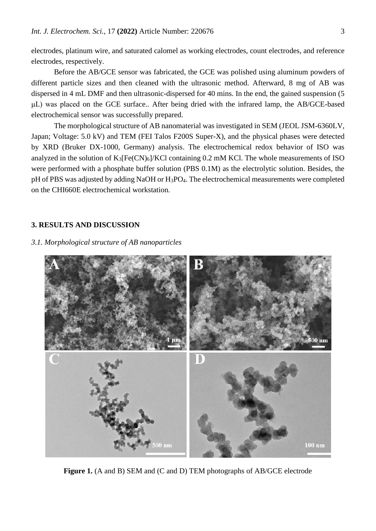electrodes, platinum wire, and saturated calomel as working electrodes, count electrodes, and reference electrodes, respectively.

Before the AB/GCE sensor was fabricated, the GCE was polished using aluminum powders of different particle sizes and then cleaned with the ultrasonic method. Afterward, 8 mg of AB was dispersed in 4 mL DMF and then ultrasonic-dispersed for 40 mins. In the end, the gained suspension (5 μL) was placed on the GCE surface.. After being dried with the infrared lamp, the AB/GCE-based electrochemical sensor was successfully prepared.

The morphological structure of AB nanomaterial was investigated in SEM (JEOL JSM-6360LV, Japan; Voltage: 5.0 kV) and TEM (FEI Talos F200S Super-X), and the physical phases were detected by XRD (Bruker DX-1000, Germany) analysis. The electrochemical redox behavior of ISO was analyzed in the solution of  $K_3[Fe(CN)_6]/KCl$  containing 0.2 mM KCl. The whole measurements of ISO were performed with a phosphate buffer solution (PBS 0.1M) as the electrolytic solution. Besides, the pH of PBS was adjusted by adding NaOH or H<sub>3</sub>PO<sub>4</sub>. The electrochemical measurements were completed on the CHI660E electrochemical workstation.

# **3. RESULTS AND DISCUSSION**

#### *3.1. Morphological structure of AB nanoparticles*



**Figure 1.** (A and B) SEM and (C and D) TEM photographs of AB/GCE electrode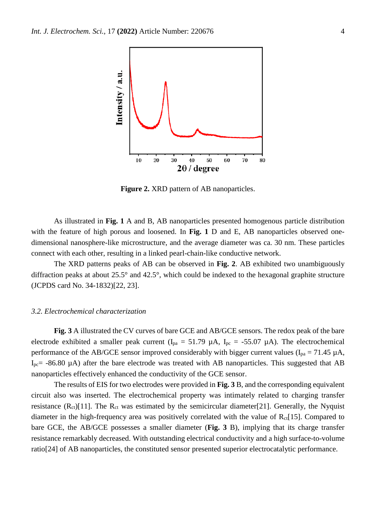

**Figure 2.** XRD pattern of AB nanoparticles.

As illustrated in **Fig. 1** A and B, AB nanoparticles presented homogenous particle distribution with the feature of high porous and loosened. In **Fig. 1** D and E, AB nanoparticles observed onedimensional nanosphere-like microstructure, and the average diameter was ca. 30 nm. These particles connect with each other, resulting in a linked pearl-chain-like conductive network.

The XRD patterns peaks of AB can be observed in **Fig. 2**. AB exhibited two unambiguously diffraction peaks at about 25.5° and 42.5°, which could be indexed to the hexagonal graphite structure (JCPDS card No. 34-1832)[22, 23].

#### *3.2. Electrochemical characterization*

**Fig. 3** A illustrated the CV curves of bare GCE and AB/GCE sensors. The redox peak of the bare electrode exhibited a smaller peak current ( $I_{pa} = 51.79 \mu A$ ,  $I_{pc} = -55.07 \mu A$ ). The electrochemical performance of the AB/GCE sensor improved considerably with bigger current values ( $I_{pa} = 71.45 \mu A$ ,  $I_{pc}$  -86.80  $\mu$ A) after the bare electrode was treated with AB nanoparticles. This suggested that AB nanoparticles effectively enhanced the conductivity of the GCE sensor.

The results of EIS for two electrodes were provided in **Fig. 3** B, and the corresponding equivalent circuit also was inserted. The electrochemical property was intimately related to charging transfer resistance  $(R_{ct})$ [11]. The  $R_{ct}$  was estimated by the semicircular diameter[21]. Generally, the Nyquist diameter in the high-frequency area was positively correlated with the value of  $R_{ct}[15]$ . Compared to bare GCE, the AB/GCE possesses a smaller diameter (**Fig. 3** B), implying that its charge transfer resistance remarkably decreased. With outstanding electrical conductivity and a high surface-to-volume ratio[24] of AB nanoparticles, the constituted sensor presented superior electrocatalytic performance.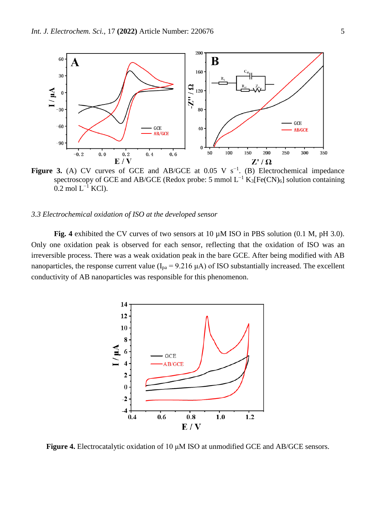

**Figure 3.** (A) CV curves of GCE and AB/GCE at  $0.05$  V s<sup>-1</sup>. (B) Electrochemical impedance spectroscopy of GCE and AB/GCE (Redox probe: 5 mmol  $L^{-1}$  K<sub>3</sub>[Fe(CN)<sub>6</sub>] solution containing  $0.2$  mol L<sup>-1</sup> KCl).

#### *3.3 Electrochemical oxidation of ISO at the developed sensor*

**Fig. 4** exhibited the CV curves of two sensors at 10 µM ISO in PBS solution (0.1 M, pH 3.0). Only one oxidation peak is observed for each sensor, reflecting that the oxidation of ISO was an irreversible process. There was a weak oxidation peak in the bare GCE. After being modified with AB nanoparticles, the response current value  $(I_{pa} = 9.216 \mu A)$  of ISO substantially increased. The excellent conductivity of AB nanoparticles was responsible for this phenomenon.



**Figure 4.** Electrocatalytic oxidation of 10 μM ISO at unmodified GCE and AB/GCE sensors.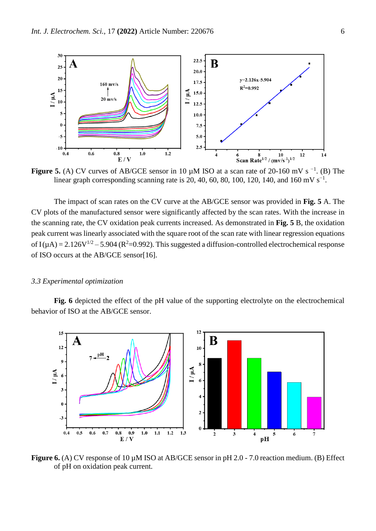

**Figure 5.** (A) CV curves of AB/GCE sensor in 10  $\mu$ M ISO at a scan rate of 20-160 mV s<sup>-1</sup>. (B) The linear graph corresponding scanning rate is 20, 40, 60, 80, 100, 120, 140, and 160 mV s<sup>-1</sup>.

The impact of scan rates on the CV curve at the AB/GCE sensor was provided in **Fig. 5** A. The CV plots of the manufactured sensor were significantly affected by the scan rates. With the increase in the scanning rate, the CV oxidation peak currents increased. As demonstrated in **Fig. 5** B, the oxidation peak current was linearly associated with the square root of the scan rate with linear regression equations of I( $\mu$ A) = 2.126V<sup>1/2</sup> – 5.904 (R<sup>2</sup>=0.992). This suggested a diffusion-controlled electrochemical response of ISO occurs at the AB/GCE sensor[16].

#### *3.3 Experimental optimization*

**Fig. 6** depicted the effect of the pH value of the supporting electrolyte on the electrochemical behavior of ISO at the AB/GCE sensor.



**Figure 6.** (A) CV response of 10 µM ISO at AB/GCE sensor in pH 2.0 - 7.0 reaction medium. (B) Effect of pH on oxidation peak current.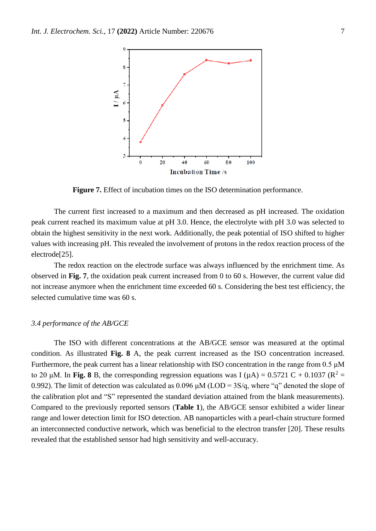

**Figure 7.** Effect of incubation times on the ISO determination performance.

The current first increased to a maximum and then decreased as pH increased. The oxidation peak current reached its maximum value at pH 3.0. Hence, the electrolyte with pH 3.0 was selected to obtain the highest sensitivity in the next work. Additionally, the peak potential of ISO shifted to higher values with increasing pH. This revealed the involvement of protons in the redox reaction process of the electrode[25].

The redox reaction on the electrode surface was always influenced by the enrichment time. As observed in **Fig. 7**, the oxidation peak current increased from 0 to 60 s. However, the current value did not increase anymore when the enrichment time exceeded 60 s. Considering the best test efficiency, the selected cumulative time was 60 s.

# *3.4 performance of the AB/GCE*

The ISO with different concentrations at the AB/GCE sensor was measured at the optimal condition. As illustrated **Fig. 8** A, the peak current increased as the ISO concentration increased. Furthermore, the peak current has a linear relationship with ISO concentration in the range from 0.5 μM to 20 μM. In **Fig. 8** B, the corresponding regression equations was I (μA) = 0.5721 C + 0.1037 ( $\mathbb{R}^2$  = 0.992). The limit of detection was calculated as  $0.096 \mu M (LOD = 3S/q,$  where "q" denoted the slope of the calibration plot and "S" represented the standard deviation attained from the blank measurements). Compared to the previously reported sensors (**Table 1**), the AB/GCE sensor exhibited a wider linear range and lower detection limit for ISO detection. AB nanoparticles with a pearl-chain structure formed an interconnected conductive network, which was beneficial to the electron transfer [20]. These results revealed that the established sensor had high sensitivity and well-accuracy.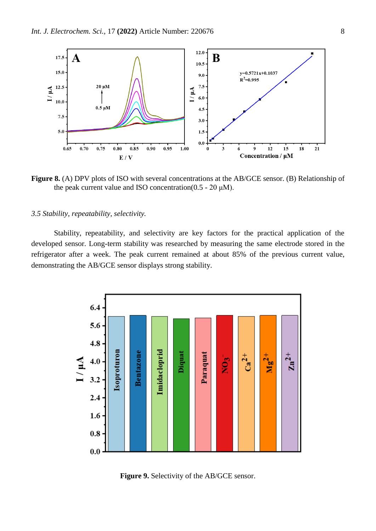

**Figure 8.** (A) DPV plots of ISO with several concentrations at the AB/GCE sensor. (B) Relationship of the peak current value and ISO concentration( $0.5 - 20 \mu M$ ).

# *3.5 Stability, repeatability, selectivity.*

Stability, repeatability, and selectivity are key factors for the practical application of the developed sensor. Long-term stability was researched by measuring the same electrode stored in the refrigerator after a week. The peak current remained at about 85% of the previous current value, demonstrating the AB/GCE sensor displays strong stability.



**Figure 9.** Selectivity of the AB/GCE sensor.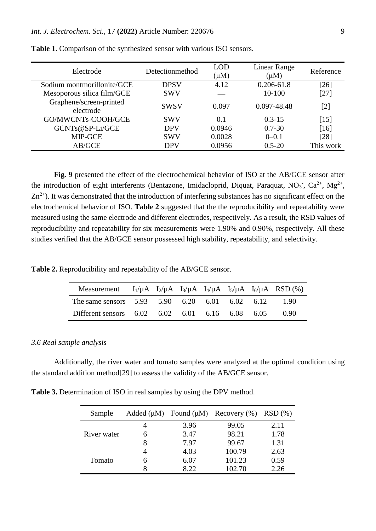| Electrode                            | Detectionmethod | LOD<br>$(\mu M)$ | Linear Range<br>$(\mu M)$ | Reference         |
|--------------------------------------|-----------------|------------------|---------------------------|-------------------|
| Sodium montmorillonite/GCE           | <b>DPSV</b>     | 4.12             | $0.206 - 61.8$            | $[26]$            |
| Mesoporous silica film/GCE           | <b>SWV</b>      |                  | $10-100$                  | [27]              |
| Graphene/screen-printed<br>electrode | <b>SWSV</b>     | 0.097            | 0.097-48.48               | $\lceil 2 \rceil$ |
| GO/MWCNTs-COOH/GCE                   | <b>SWV</b>      | 0.1              | $0.3 - 15$                | $[15]$            |
| GCNTs@SP-Li/GCE                      | <b>DPV</b>      | 0.0946           | $0.7 - 30$                | [16]              |
| MIP-GCE                              | <b>SWV</b>      | 0.0028           | $0-0.1$                   | [28]              |
| AB/GCE                               | <b>DPV</b>      | 0.0956           | $0.5 - 20$                | This work         |

**Table 1.** Comparison of the synthesized sensor with various ISO sensors.

**Fig. 9** presented the effect of the electrochemical behavior of ISO at the AB/GCE sensor after the introduction of eight interferents (Bentazone, Imidacloprid, Diquat, Paraquat, NO<sub>3</sub>, Ca<sup>2+</sup>, Mg<sup>2+</sup>,  $Zn^{2+}$ ). It was demonstrated that the introduction of interfering substances has no significant effect on the electrochemical behavior of ISO. **Table 2** suggested that the the reproducibility and repeatability were measured using the same electrode and different electrodes, respectively. As a result, the RSD values of reproducibility and repeatability for six measurements were 1.90% and 0.90%, respectively. All these studies verified that the AB/GCE sensor possessed high stability, repeatability, and selectivity.

**Table 2.** Reproducibility and repeatability of the AB/GCE sensor.

| Measurement $I_1/\mu A$ $I_2/\mu A$ $I_3/\mu A$ $I_4/\mu A$ $I_5/\mu A$ $I_6/\mu A$ RSD (%) |  |  |  |      |
|---------------------------------------------------------------------------------------------|--|--|--|------|
| The same sensors 5.93 5.90 6.20 6.01 6.02 6.12                                              |  |  |  | 190  |
| Different sensors $6.02$ $6.02$ $6.01$ $6.16$ $6.08$ $6.05$                                 |  |  |  | 0.90 |

# *3.6 Real sample analysis*

Additionally, the river water and tomato samples were analyzed at the optimal condition using the standard addition method[29] to assess the validity of the AB/GCE sensor.

**Table 3.** Determination of ISO in real samples by using the DPV method.

| Sample      |      | Added $(\mu M)$ Found $(\mu M)$ Recovery $(\%)$ RSD $(\%)$ |      |
|-------------|------|------------------------------------------------------------|------|
| River water | 3.96 | 99.05                                                      | 2.11 |
|             | 3.47 | 98.21                                                      | 1.78 |
|             | 7.97 | 99.67                                                      | 1.31 |
| Tomato      | 4.03 | 100.79                                                     | 2.63 |
|             | 6.07 | 101.23                                                     | 0.59 |
|             | 8.22 | 102.70                                                     | 2.26 |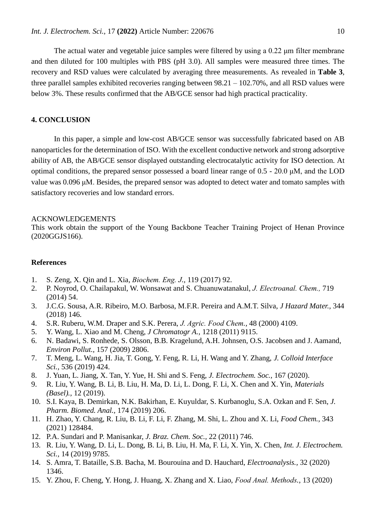The actual water and vegetable juice samples were filtered by using a 0.22 μm filter membrane and then diluted for 100 multiples with PBS (pH 3.0). All samples were measured three times. The recovery and RSD values were calculated by averaging three measurements. As revealed in **Table 3**, three parallel samples exhibited recoveries ranging between 98.21 – 102.70%, and all RSD values were below 3%. These results confirmed that the AB/GCE sensor had high practical practicality.

# **4. CONCLUSION**

In this paper, a simple and low-cost AB/GCE sensor was successfully fabricated based on AB nanoparticles for the determination of ISO. With the excellent conductive network and strong adsorptive ability of AB, the AB/GCE sensor displayed outstanding electrocatalytic activity for ISO detection. At optimal conditions, the prepared sensor possessed a board linear range of 0.5 - 20.0 μM, and the LOD value was 0.096 μM. Besides, the prepared sensor was adopted to detect water and tomato samples with satisfactory recoveries and low standard errors.

#### ACKNOWLEDGEMENTS

This work obtain the support of the Young Backbone Teacher Training Project of Henan Province (2020GGJS166).

# **References**

- 1. S. Zeng, X. Qin and L. Xia, *Biochem. Eng. J.,* 119 (2017) 92.
- 2. P. Noyrod, O. Chailapakul, W. Wonsawat and S. Chuanuwatanakul, *J. Electroanal. Chem.,* 719 (2014) 54.
- 3. J.C.G. Sousa, A.R. Ribeiro, M.O. Barbosa, M.F.R. Pereira and A.M.T. Silva, *J Hazard Mater.,* 344 (2018) 146.
- 4. S.R. Ruberu, W.M. Draper and S.K. Perera, *J. Agric. Food Chem.,* 48 (2000) 4109.
- 5. Y. Wang, L. Xiao and M. Cheng, *J Chromatogr A.,* 1218 (2011) 9115.
- 6. N. Badawi, S. Ronhede, S. Olsson, B.B. Kragelund, A.H. Johnsen, O.S. Jacobsen and J. Aamand, *Environ Pollut.,* 157 (2009) 2806.
- 7. T. Meng, L. Wang, H. Jia, T. Gong, Y. Feng, R. Li, H. Wang and Y. Zhang, *J. Colloid Interface Sci.,* 536 (2019) 424.
- 8. J. Yuan, L. Jiang, X. Tan, Y. Yue, H. Shi and S. Feng, *J. Electrochem. Soc.,* 167 (2020).
- 9. R. Liu, Y. Wang, B. Li, B. Liu, H. Ma, D. Li, L. Dong, F. Li, X. Chen and X. Yin, *Materials (Basel).,* 12 (2019).
- 10. S.I. Kaya, B. Demirkan, N.K. Bakirhan, E. Kuyuldar, S. Kurbanoglu, S.A. Ozkan and F. Sen, *J. Pharm. Biomed. Anal.,* 174 (2019) 206.
- 11. H. Zhao, Y. Chang, R. Liu, B. Li, F. Li, F. Zhang, M. Shi, L. Zhou and X. Li, *Food Chem.,* 343 (2021) 128484.
- 12. P.A. Sundari and P. Manisankar, *J. Braz. Chem. Soc.,* 22 (2011) 746.
- 13. R. Liu, Y. Wang, D. Li, L. Dong, B. Li, B. Liu, H. Ma, F. Li, X. Yin, X. Chen, *Int. J. Electrochem. Sci.,* 14 (2019) 9785.
- 14. S. Amra, T. Bataille, S.B. Bacha, M. Bourouina and D. Hauchard, *Electroanalysis.,* 32 (2020) 1346.
- 15. Y. Zhou, F. Cheng, Y. Hong, J. Huang, X. Zhang and X. Liao, *Food Anal. Methods.,* 13 (2020)